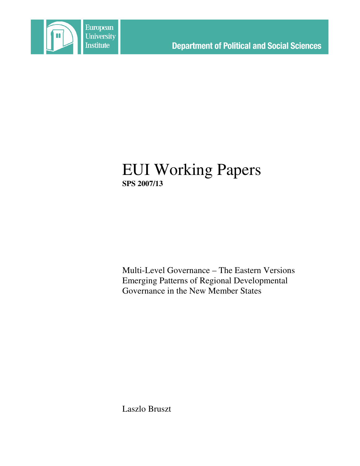

# EUI Working Papers **SPS 2007/13**

Multi-Level Governance – The Eastern Versions Emerging Patterns of Regional Developmental Governance in the New Member States

Laszlo Bruszt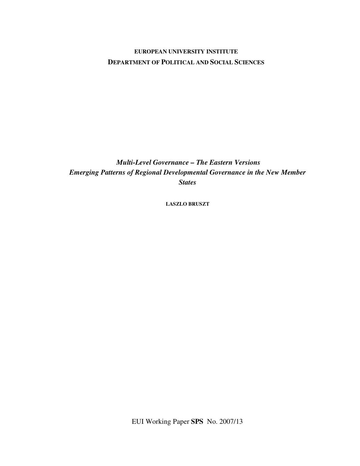## **EUROPEAN UNIVERSITY INSTITUTE DEPARTMENT OF POLITICAL AND SOCIAL SCIENCES**

*Multi-Level Governance – The Eastern Versions Emerging Patterns of Regional Developmental Governance in the New Member States*

**LASZLO BRUSZT**

EUI Working Paper **SPS** No. 2007/13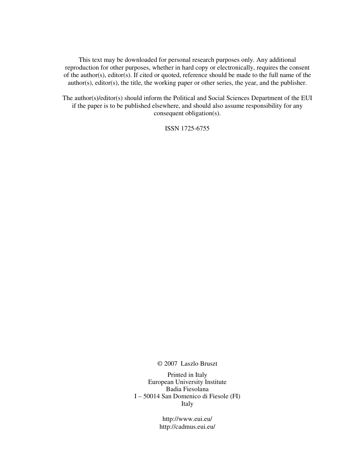This text may be downloaded for personal research purposes only. Any additional reproduction for other purposes, whether in hard copy or electronically, requires the consent of the author(s), editor(s). If cited or quoted, reference should be made to the full name of the author(s), editor(s), the title, the working paper or other series, the year, and the publisher.

The author(s)/editor(s) should inform the Political and Social Sciences Department of the EUI if the paper is to be published elsewhere, and should also assume responsibility for any consequent obligation(s).

ISSN 1725-6755

© 2007 Laszlo Bruszt

Printed in Italy European University Institute Badia Fiesolana I – 50014 San Domenico di Fiesole (FI) Italy

> http://www.eui.eu/ http://cadmus.eui.eu/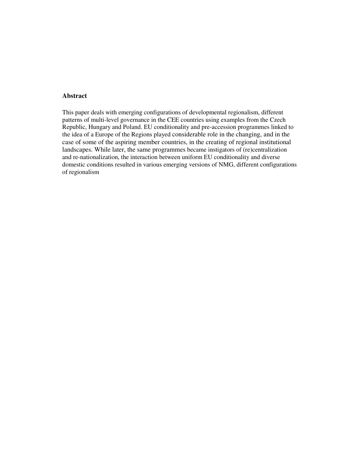## **Abstract**

This paper deals with emerging configurations of developmental regionalism, different patterns of multi-level governance in the CEE countries using examples from the Czech Republic, Hungary and Poland. EU conditionality and pre-accession programmes linked to the idea of a Europe of the Regions played considerable role in the changing, and in the case of some of the aspiring member countries, in the creating of regional institutional landscapes. While later, the same programmes became instigators of (re)centralization and re-nationalization, the interaction between uniform EU conditionality and diverse domestic conditions resulted in various emerging versions of NMG, different configurations of regionalism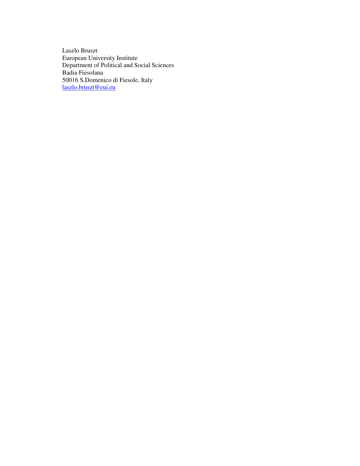Laszlo Bruszt European University Institute Department of Political and Social Sciences Badia Fiesolana 50016 S.Domenico di Fiesole, Italy laszlo.bruszt@eui.eu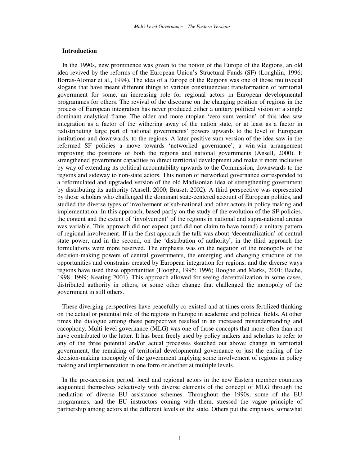#### **Introduction**

In the 1990s, new prominence was given to the notion of the Europe of the Regions, an old idea revived by the reforms of the European Union's Structural Funds (SF) (Loughlin, 1996; Borras-Alomar et al., 1994). The idea of a Europe of the Regions was one of those multivocal slogans that have meant different things to various constituencies: transformation of territorial government for some, an increasing role for regional actors in European developmental programmes for others. The revival of the discourse on the changing position of regions in the process of European integration has never produced either a unitary political vision or a single dominant analytical frame. The older and more utopian 'zero sum version' of this idea saw integration as a factor of the withering away of the nation state, or at least as a factor in redistributing large part of national governments' powers upwards to the level of European institutions and downwards, to the regions. A later positive sum version of the idea saw in the reformed SF policies a move towards 'networked governance', a win-win arrangement improving the positions of both the regions and national governments (Ansell, 2000). It strengthened government capacities to direct territorial development and make it more inclusive by way of extending its political accountability upwards to the Commission, downwards to the regions and sideway to non-state actors. This notion of networked governance corresponded to a reformulated and upgraded version of the old Madisonian idea of strengthening government by distributing its authority (Ansell, 2000; Bruszt; 2002). A third perspective was represented by those scholars who challenged the dominant state-centered account of European politics, and studied the diverse types of involvement of sub-national and other actors in policy making and implementation. In this approach, based partly on the study of the evolution of the SF policies, the content and the extent of 'involvement' of the regions in national and supra-national arenas was variable. This approach did not expect (and did not claim to have found) a unitary pattern of regional involvement. If in the first approach the talk was about 'decentralization' of central state power, and in the second, on the 'distribution of authority', in the third approach the formulations were more reserved. The emphasis was on the negation of the monopoly of the decision-making powers of central governments, the emerging and changing structure of the opportunities and constrains created by European integration for regions, and the diverse ways regions have used these opportunities (Hooghe, 1995; 1996; Hooghe and Marks, 2001; Bache, 1998, 1999; Keating 2001). This approach allowed for seeing decentralization in some cases, distributed authority in others, or some other change that challenged the monopoly of the government in still others.

These diverging perspectives have peacefully co-existed and at times cross-fertilized thinking on the actual or potential role of the regions in Europe in academic and political fields. At other times the dialogue among these perspectives resulted in an increased misunderstanding and cacophony. Multi-level governance (MLG) was one of those concepts that more often than not have contributed to the latter. It has been freely used by policy makers and scholars to refer to any of the three potential and/or actual processes sketched out above: change in territorial government, the remaking of territorial developmental governance or just the ending of the decision-making monopoly of the government implying some involvement of regions in policy making and implementation in one form or another at multiple levels.

In the pre-accession period, local and regional actors in the new Eastern member countries acquainted themselves selectively with diverse elements of the concept of MLG through the mediation of diverse EU assistance schemes. Throughout the 1990s, some of the EU programmes, and the EU instructors coming with them, stressed the vague principle of partnership among actors at the different levels of the state. Others put the emphasis, somewhat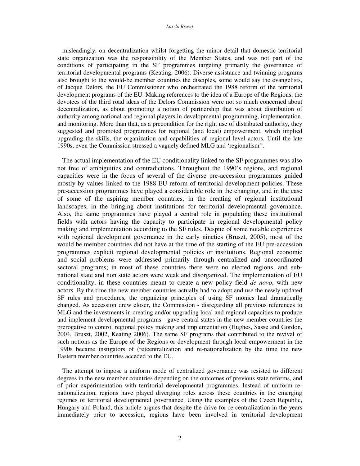#### *Laszlo Bruszt*

misleadingly, on decentralization whilst forgetting the minor detail that domestic territorial state organization was the responsibility of the Member States, and was not part of the conditions of participating in the SF programmes targeting primarily the governance of territorial developmental programs (Keating, 2006). Diverse assistance and twinning programs also brought to the would-be member countries the disciples, some would say the evangelists, of Jacque Delors, the EU Commissioner who orchestrated the 1988 reform of the territorial development programs of the EU. Making references to the idea of a Europe of the Regions, the devotees of the third road ideas of the Delors Commission were not so much concerned about decentralization, as about promoting a notion of partnership that was about distribution of authority among national and regional players in developmental programming, implementation, and monitoring. More than that, as a precondition for the right use of distributed authority, they suggested and promoted programmes for regional (and local) empowerment, which implied upgrading the skills, the organization and capabilities of regional level actors. Until the late 1990s, even the Commission stressed a vaguely defined MLG and 'regionalism'<sup>1</sup>.

The actual implementation of the EU conditionality linked to the SF programmes was also not free of ambiguities and contradictions. Throughout the 1990's regions, and regional capacities were in the focus of several of the diverse pre-accession programmes guided mostly by values linked to the 1988 EU reform of territorial development policies. These pre-accession programmes have played a considerable role in the changing, and in the case of some of the aspiring member countries, in the creating of regional institutional landscapes, in the bringing about institutions for territorial developmental governance. Also, the same programmes have played a central role in populating these institutional fields with actors having the capacity to participate in regional developmental policy making and implementation according to the SF rules. Despite of some notable experiences with regional development governance in the early nineties (Bruszt, 2005), most of the would be member countries did not have at the time of the starting of the EU pre-accession programmes explicit regional developmental policies or institutions. Regional economic and social problems were addressed primarily through centralized and uncoordinated sectoral programs; in most of these countries there were no elected regions, and subnational state and non state actors were weak and disorganized. The implementation of EU conditionality, in these countries meant to create a new policy field *de novo*, with new actors. By the time the new member countries actually had to adopt and use the newly updated SF rules and procedures, the organizing principles of using SF monies had dramatically changed. As accession drew closer, the Commission - disregarding all previous references to MLG and the investments in creating and/or upgrading local and regional capacities to produce and implement developmental programs - gave central states in the new member countries the prerogative to control regional policy making and implementation (Hughes, Sasse and Gordon, 2004, Bruszt, 2002, Keating 2006). The same SF programs that contributed to the revival of such notions as the Europe of the Regions or development through local empowerment in the 1990s became instigators of (re)centralization and re-nationalization by the time the new Eastern member countries acceded to the EU.

The attempt to impose a uniform mode of centralized governance was resisted to different degrees in the new member countries depending on the outcomes of previous state reforms, and of prior experimentation with territorial developmental programmes. Instead of uniform renationalization, regions have played diverging roles across these countries in the emerging regimes of territorial developmental governance. Using the examples of the Czech Republic, Hungary and Poland, this article argues that despite the drive for re-centralization in the years immediately prior to accession, regions have been involved in territorial development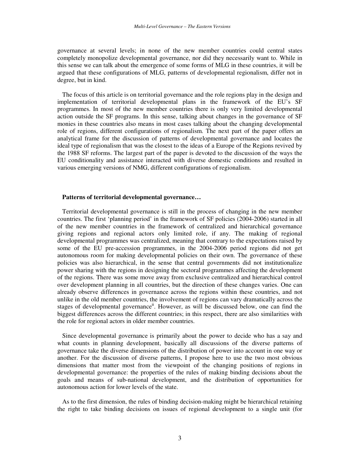governance at several levels; in none of the new member countries could central states completely monopolize developmental governance, nor did they necessarily want to. While in this sense we can talk about the emergence of some forms of MLG in these countries, it will be argued that these configurations of MLG, patterns of developmental regionalism, differ not in degree, but in kind.

The focus of this article is on territorial governance and the role regions play in the design and implementation of territorial developmental plans in the framework of the EU's SF programmes. In most of the new member countries there is only very limited developmental action outside the SF programs. In this sense, talking about changes in the governance of SF monies in these countries also means in most cases talking about the changing developmental role of regions, different configurations of regionalism. The next part of the paper offers an analytical frame for the discussion of patterns of developmental governance and locates the ideal type of regionalism that was the closest to the ideas of a Europe of the Regions revived by the 1988 SF reforms. The largest part of the paper is devoted to the discussion of the ways the EU conditionality and assistance interacted with diverse domestic conditions and resulted in various emerging versions of NMG, different configurations of regionalism.

### **Patterns of territorial developmental governance…**

Territorial developmental governance is still in the process of changing in the new member countries. The first 'planning period' in the framework of SF policies (2004-2006) started in all of the new member countries in the framework of centralized and hierarchical governance giving regions and regional actors only limited role, if any. The making of regional developmental programmes was centralized, meaning that contrary to the expectations raised by some of the EU pre-accession programmes, in the 2004-2006 period regions did not get autonomous room for making developmental policies on their own. The governance of these policies was also hierarchical, in the sense that central governments did not institutionalize power sharing with the regions in designing the sectoral programmes affecting the development of the regions. There was some move away from exclusive centralized and hierarchical control over development planning in all countries, but the direction of these changes varies. One can already observe differences in governance across the regions within these countries, and not unlike in the old member countries, the involvement of regions can vary dramatically across the stages of developmental governance<sup>ii</sup>. However, as will be discussed below, one can find the biggest differences across the different countries; in this respect, there are also similarities with the role for regional actors in older member countries.

Since developmental governance is primarily about the power to decide who has a say and what counts in planning development, basically all discussions of the diverse patterns of governance take the diverse dimensions of the distribution of power into account in one way or another. For the discussion of diverse patterns, I propose here to use the two most obvious dimensions that matter most from the viewpoint of the changing positions of regions in developmental governance: the properties of the rules of making binding decisions about the goals and means of sub-national development, and the distribution of opportunities for autonomous action for lower levels of the state.

As to the first dimension, the rules of binding decision-making might be hierarchical retaining the right to take binding decisions on issues of regional development to a single unit (for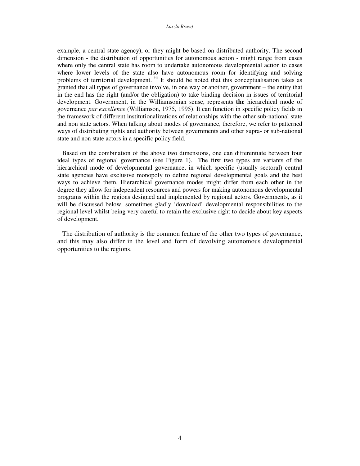example, a central state agency), or they might be based on distributed authority. The second dimension - the distribution of opportunities for autonomous action - might range from cases where only the central state has room to undertake autonomous developmental action to cases where lower levels of the state also have autonomous room for identifying and solving problems of territorial development. iii It should be noted that this conceptualisation takes as granted that all types of governance involve, in one way or another, government – the entity that in the end has the right (and/or the obligation) to take binding decision in issues of territorial development. Government, in the Williamsonian sense, represents **the** hierarchical mode of governance *par excellence* (Williamson, 1975, 1995). It can function in specific policy fields in the framework of different institutionalizations of relationships with the other sub-national state and non state actors. When talking about modes of governance, therefore, we refer to patterned ways of distributing rights and authority between governments and other supra- or sub-national state and non state actors in a specific policy field.

Based on the combination of the above two dimensions, one can differentiate between four ideal types of regional governance (see Figure 1). The first two types are variants of the hierarchical mode of developmental governance, in which specific (usually sectoral) central state agencies have exclusive monopoly to define regional developmental goals and the best ways to achieve them. Hierarchical governance modes might differ from each other in the degree they allow for independent resources and powers for making autonomous developmental programs within the regions designed and implemented by regional actors. Governments, as it will be discussed below, sometimes gladly 'download' developmental responsibilities to the regional level whilst being very careful to retain the exclusive right to decide about key aspects of development.

The distribution of authority is the common feature of the other two types of governance, and this may also differ in the level and form of devolving autonomous developmental opportunities to the regions.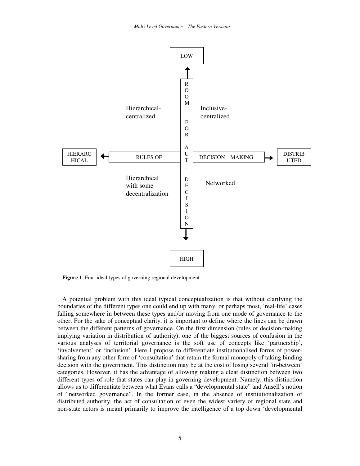

**Figure 1**. Four ideal types of governing regional development

A potential problem with this ideal typical conceptualization is that without clarifying the boundaries of the different types one could end up with many, or perhaps most, 'real-life' cases falling somewhere in between these types and/or moving from one mode of governance to the other. For the sake of conceptual clarity, it is important to define where the lines can be drawn between the different patterns of governance. On the first dimension (rules of decision-making implying variation in distribution of authority), one of the biggest sources of confusion in the various analyses of territorial governance is the soft use of concepts like 'partnership', 'involvement' or 'inclusion'. Here I propose to differentiate institutionalised forms of powersharing from any other form of 'consultation' that retain the formal monopoly of taking binding decision with the government. This distinction may be at the cost of losing several 'in-between' categories. However, it has the advantage of allowing making a clear distinction between two different types of role that states can play in governing development. Namely, this distinction allows us to differentiate between what Evans calls a "developmental state" and Ansell's notion of "networked governance". In the former case, in the absence of institutionalization of distributed authority, the act of consultation of even the widest variety of regional state and non-state actors is meant primarily to improve the intelligence of a top down 'developmental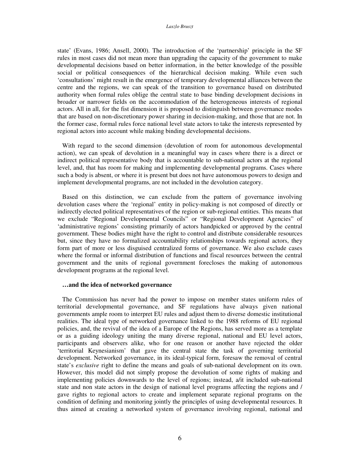#### *Laszlo Bruszt*

state' (Evans, 1986; Ansell, 2000). The introduction of the 'partnership' principle in the SF rules in most cases did not mean more than upgrading the capacity of the government to make developmental decisions based on better information, in the better knowledge of the possible social or political consequences of the hierarchical decision making. While even such 'consultations' might result in the emergence of temporary developmental alliances between the centre and the regions, we can speak of the transition to governance based on distributed authority when formal rules oblige the central state to base binding development decisions in broader or narrower fields on the accommodation of the heterogeneous interests of regional actors. All in all, for the fist dimension it is proposed to distinguish between governance modes that are based on non-discretionary power sharing in decision-making, and those that are not. In the former case, formal rules force national level state actors to take the interests represented by regional actors into account while making binding developmental decisions.

With regard to the second dimension (devolution of room for autonomous developmental action), we can speak of devolution in a meaningful way in cases where there is a direct or indirect political representative body that is accountable to sub-national actors at the regional level, and, that has room for making and implementing developmental programs. Cases where such a body is absent, or where it is present but does not have autonomous powers to design and implement developmental programs, are not included in the devolution category.

Based on this distinction, we can exclude from the pattern of governance involving devolution cases where the 'regional' entity in policy-making is not composed of directly or indirectly elected political representatives of the region or sub-regional entities. This means that we exclude "Regional Developmental Councils" or "Regional Development Agencies" of 'administrative regions' consisting primarily of actors handpicked or approved by the central government. These bodies might have the right to control and distribute considerable resources but, since they have no formalized accountability relationships towards regional actors, they form part of more or less disguised centralized forms of governance. We also exclude cases where the formal or informal distribution of functions and fiscal resources between the central government and the units of regional government forecloses the making of autonomous development programs at the regional level.

## **…and the idea of networked governance**

The Commission has never had the power to impose on member states uniform rules of territorial developmental governance, and SF regulations have always given national governments ample room to interpret EU rules and adjust them to diverse domestic institutional realities. The ideal type of networked governance linked to the 1988 reforms of EU regional policies, and, the revival of the idea of a Europe of the Regions, has served more as a template or as a guiding ideology uniting the many diverse regional, national and EU level actors, participants and observers alike, who for one reason or another have rejected the older 'territorial Keynesianism' that gave the central state the task of governing territorial development. Networked governance, in its ideal-typical form, foresaw the removal of central state's *exclusive* right to define the means and goals of sub-national development on its own. However, this model did not simply propose the devolution of some rights of making and implementing policies downwards to the level of regions; instead, a/it included sub-national state and non state actors in the design of national level programs affecting the regions and / gave rights to regional actors to create and implement separate regional programs on the condition of defining and monitoring jointly the principles of using developmental resources. It thus aimed at creating a networked system of governance involving regional, national and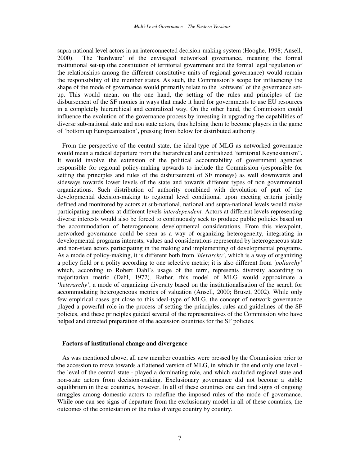supra-national level actors in an interconnected decision-making system (Hooghe, 1998; Ansell, 2000). The 'hardware' of the envisaged networked governance, meaning the formal institutional set-up (the constitution of territorial government and the formal legal regulation of the relationships among the different constitutive units of regional governance) would remain the responsibility of the member states. As such, the Commission's scope for influencing the shape of the mode of governance would primarily relate to the 'software' of the governance setup. This would mean, on the one hand, the setting of the rules and principles of the disbursement of the SF monies in ways that made it hard for governments to use EU resources in a completely hierarchical and centralized way. On the other hand, the Commission could influence the evolution of the governance process by investing in upgrading the capabilities of diverse sub-national state and non state actors, thus helping them to become players in the game of 'bottom up Europeanization', pressing from below for distributed authority.

From the perspective of the central state, the ideal-type of MLG as networked governance would mean a radical departure from the hierarchical and centralized 'territorial Keynesianism". It would involve the extension of the political accountability of government agencies responsible for regional policy-making upwards to include the Commission (responsible for setting the principles and rules of the disbursement of SF moneys) as well downwards and sideways towards lower levels of the state and towards different types of non governmental organizations. Such distribution of authority combined with devolution of part of the developmental decision-making to regional level conditional upon meeting criteria jointly defined and monitored by actors at sub-national, national and supra-national levels would make participating members at different levels *interdependent.* Actors at different levels representing diverse interests would also be forced to continuously seek to produce public policies based on the accommodation of heterogeneous developmental considerations. From this viewpoint, networked governance could be seen as a way of organizing heterogeneity, integrating in developmental programs interests, values and considerations represented by heterogeneous state and non-state actors participating in the making and implementing of developmental programs. As a mode of policy-making, it is different both from *'hierarchy'*, which is a way of organizing a policy field or a polity according to one selective metric; it is also different from *'poliarchy'* which, according to Robert Dahl's usage of the term, represents diversity according to majoritarian metric (Dahl, 1972). Rather, this model of MLG would approximate a '*heterarchy'*, a mode of organizing diversity based on the institutionalisation of the search for accommodating heterogeneous metrics of valuation (Ansell, 2000; Bruszt, 2002). While only few empirical cases got close to this ideal-type of MLG, the concept of network governance played a powerful role in the process of setting the principles, rules and guidelines of the SF policies, and these principles guided several of the representatives of the Commission who have helped and directed preparation of the accession countries for the SF policies.

#### **Factors of institutional change and divergence**

As was mentioned above, all new member countries were pressed by the Commission prior to the accession to move towards a flattened version of MLG, in which in the end only one level the level of the central state - played a dominating role, and which excluded regional state and non-state actors from decision-making. Exclusionary governance did not become a stable equilibrium in these countries, however. In all of these countries one can find signs of ongoing struggles among domestic actors to redefine the imposed rules of the mode of governance. While one can see signs of departure from the exclusionary model in all of these countries, the outcomes of the contestation of the rules diverge country by country.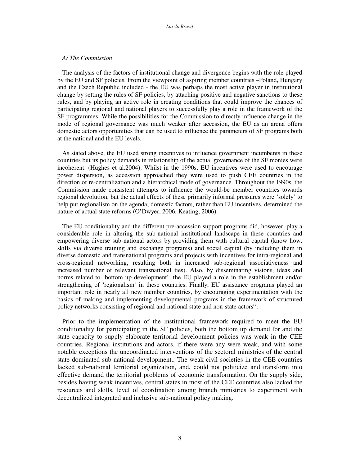#### *A/ The Commission*

The analysis of the factors of institutional change and divergence begins with the role played by the EU and SF policies. From the viewpoint of aspiring member countries –Poland, Hungary and the Czech Republic included - the EU was perhaps the most active player in institutional change by setting the rules of SF policies, by attaching positive and negative sanctions to these rules, and by playing an active role in creating conditions that could improve the chances of participating regional and national players to successfully play a role in the framework of the SF programmes. While the possibilities for the Commission to directly influence change in the mode of regional governance was much weaker after accession, the EU as an arena offers domestic actors opportunities that can be used to influence the parameters of SF programs both at the national and the EU levels.

As stated above, the EU used strong incentives to influence government incumbents in these countries but its policy demands in relationship of the actual governance of the SF monies were incoherent. (Hughes et al.2004). Whilst in the 1990s, EU incentives were used to encourage power dispersion, as accession approached they were used to push CEE countries in the direction of re-centralization and a hierarchical mode of governance. Throughout the 1990s, the Commission made consistent attempts to influence the would-be member countries towards regional devolution, but the actual effects of these primarily informal pressures were 'solely' to help put regionalism on the agenda; domestic factors, rather than EU incentives, determined the nature of actual state reforms (O'Dwyer, 2006, Keating, 2006).

The EU conditionality and the different pre-accession support programs did, however, play a considerable role in altering the sub-national institutional landscape in these countries and empowering diverse sub-national actors by providing them with cultural capital (know how, skills via diverse training and exchange programs) and social capital (by including them in diverse domestic and transnational programs and projects with incentives for intra-regional and cross-regional networking, resulting both in increased sub-regional associativeness and increased number of relevant transnational ties). Also, by disseminating visions, ideas and norms related to 'bottom up development', the EU played a role in the establishment and/or strengthening of 'regionalism' in these countries. Finally, EU assistance programs played an important role in nearly all new member countries, by encouraging experimentation with the basics of making and implementing developmental programs in the framework of structured policy networks consisting of regional and national state and non-state actors<sup>iv</sup>.

Prior to the implementation of the institutional framework required to meet the EU conditionality for participating in the SF policies, both the bottom up demand for and the state capacity to supply elaborate territorial development policies was weak in the CEE countries. Regional institutions and actors, if there were any were weak, and with some notable exceptions the uncoordinated interventions of the sectoral ministries of the central state dominated sub-national development.. The weak civil societies in the CEE countries lacked sub-national territorial organization, and, could not politicize and transform into effective demand the territorial problems of economic transformation. On the supply side, besides having weak incentives, central states in most of the CEE countries also lacked the resources and skills, level of coordination among branch ministries to experiment with decentralized integrated and inclusive sub-national policy making.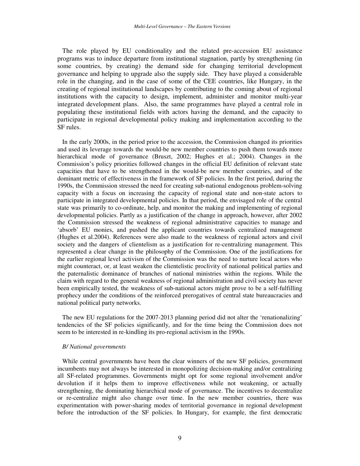The role played by EU conditionality and the related pre-accession EU assistance programs was to induce departure from institutional stagnation, partly by strengthening (in some countries, by creating) the demand side for changing territorial development governance and helping to upgrade also the supply side. They have played a considerable role in the changing, and in the case of some of the CEE countries, like Hungary, in the creating of regional institutional landscapes by contributing to the coming about of regional institutions with the capacity to design, implement, administer and monitor multi-year integrated development plans. Also, the same programmes have played a central role in populating these institutional fields with actors having the demand, and the capacity to participate in regional developmental policy making and implementation according to the SF rules.

In the early 2000s, in the period prior to the accession, the Commission changed its priorities and used its leverage towards the would-be new member countries to push them towards more hierarchical mode of governance (Bruszt, 2002; Hughes et al.; 2004). Changes in the Commission's policy priorities followed changes in the official EU definition of relevant state capacities that have to be strengthened in the would-be new member countries, and of the dominant metric of effectiveness in the framework of SF policies. In the first period, during the 1990s, the Commission stressed the need for creating sub-national endogenous problem-solving capacity with a focus on increasing the capacity of regional state and non-state actors to participate in integrated developmental policies. In that period, the envisaged role of the central state was primarily to co-ordinate, help, and monitor the making and implementing of regional developmental policies. Partly as a justification of the change in approach, however, after 2002 the Commission stressed the weakness of regional administrative capacities to manage and 'absorb' EU monies, and pushed the applicant countries towards centralized management (Hughes et al.2004). References were also made to the weakness of regional actors and civil society and the dangers of clientelism as a justification for re-centralizing management. This represented a clear change in the philosophy of the Commission. One of the justifications for the earlier regional level activism of the Commission was the need to nurture local actors who might counteract, or, at least weaken the clientelistic proclivity of national political parties and the paternalistic dominance of branches of national ministries within the regions. While the claim with regard to the general weakness of regional administration and civil society has never been empirically tested, the weakness of sub-national actors might prove to be a self-fulfilling prophecy under the conditions of the reinforced prerogatives of central state bureaucracies and national political party networks.

The new EU regulations for the 2007-2013 planning period did not alter the 'renationalizing' tendencies of the SF policies significantly, and for the time being the Commission does not seem to be interested in re-kindling its pro-regional activism in the 1990s.

## *B/ National governments*

While central governments have been the clear winners of the new SF policies, government incumbents may not always be interested in monopolizing decision-making and/or centralizing all SF-related programmes. Governments might opt for some regional involvement and/or devolution if it helps them to improve effectiveness while not weakening, or actually strengthening, the dominating hierarchical mode of governance. The incentives to decentralize or re-centralize might also change over time. In the new member countries, there was experimentation with power-sharing modes of territorial governance in regional development before the introduction of the SF policies. In Hungary, for example, the first democratic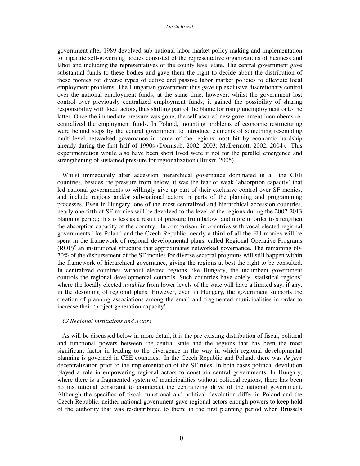government after 1989 devolved sub-national labor market policy-making and implementation to tripartite self-governing bodies consisted of the representative organizations of business and labor and including the representatives of the county level state. The central government gave substantial funds to these bodies and gave them the right to decide about the distribution of these monies for diverse types of active and passive labor market policies to alleviate local employment problems. The Hungarian government thus gave up exclusive discretionary control over the national employment funds; at the same time, however, whilst the government lost control over previously centralized employment funds, it gained the possibility of sharing responsibility with local actors, thus shifting part of the blame for rising unemployment onto the latter. Once the immediate pressure was gone, the self-assured new government incumbents recentralized the employment funds. In Poland, mounting problems of economic restructuring were behind steps by the central government to introduce elements of something resembling multi-level networked governance in some of the regions most hit by economic hardship already during the first half of 1990s (Dornisch, 2002, 2003; McDermott, 2002, 2004). This experimentation would also have been short lived were it not for the parallel emergence and strengthening of sustained pressure for regionalization (Bruszt, 2005).

Whilst immediately after accession hierarchical governance dominated in all the CEE countries, besides the pressure from below, it was the fear of weak 'absorption capacity' that led national governments to willingly give up part of their exclusive control over SF monies, and include regions and/or sub-national actors in parts of the planning and programming processes. Even in Hungary, one of the most centralized and hierarchical accession countries, nearly one fifth of SF monies will be devolved to the level of the regions during the 2007-2013 planning period; this is less as a result of pressure from below, and more in order to strengthen the absorption capacity of the country. In comparison, in countries with vocal elected regional governments like Poland and the Czech Republic, nearly a third of all the EU monies will be spent in the framework of regional developmental plans, called Regional Operative Programs  $(\overline{ROP})^v$  an institutional structure that approximates networked governance. The remaining 60-70% of the disbursement of the SF monies for diverse sectoral programs will still happen within the framework of hierarchical governance, giving the regions at best the right to be consulted. In centralized countries without elected regions like Hungary, the incumbent government controls the regional developmental councils. Such countries have solely 'statistical regions' where the locally elected *notables* from lower levels of the state will have a limited say, if any, in the designing of regional plans. However, even in Hungary, the government supports the creation of planning associations among the small and fragmented municipalities in order to increase their 'project generation capacity'.

#### *C/ Regional institutions and actors*

As will be discussed below in more detail, it is the pre-existing distribution of fiscal, political and functional powers between the central state and the regions that has been the most significant factor in leading to the divergence in the way in which regional developmental planning is governed in CEE countries. In the Czech Republic and Poland, there was *de jure* decentralization prior to the implementation of the SF rules. In both cases political devolution played a role in empowering regional actors to constrain central governments. In Hungary, where there is a fragmented system of municipalities without political regions, there has been no institutional constraint to counteract the centralizing drive of the national government. Although the specifics of fiscal, functional and political devolution differ in Poland and the Czech Republic, neither national government gave regional actors enough powers to keep hold of the authority that was re-distributed to them; in the first planning period when Brussels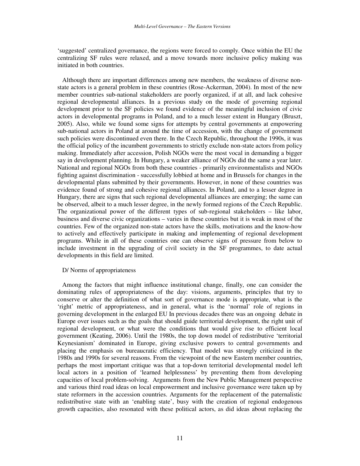'suggested' centralized governance, the regions were forced to comply. Once within the EU the centralizing SF rules were relaxed, and a move towards more inclusive policy making was initiated in both countries.

Although there are important differences among new members, the weakness of diverse nonstate actors is a general problem in these countries (Rose-Ackerman, 2004). In most of the new member countries sub-national stakeholders are poorly organized, if at all, and lack cohesive regional developmental alliances. In a previous study on the mode of governing regional development prior to the SF policies we found evidence of the meaningful inclusion of civic actors in developmental programs in Poland, and to a much lesser extent in Hungary (Bruszt, 2005). Also, while we found some signs for attempts by central governments at empowering sub-national actors in Poland at around the time of accession, with the change of government such policies were discontinued even there. In the Czech Republic, throughout the 1990s, it was the official policy of the incumbent governments to strictly exclude non-state actors from policy making. Immediately after accession, Polish NGOs were the most vocal in demanding a bigger say in development planning. In Hungary, a weaker alliance of NGOs did the same a year later. National and regional NGOs from both these countries - primarily environmentalists and NGOs fighting against discrimination - successfully lobbied at home and in Brussels for changes in the developmental plans submitted by their governments. However, in none of these countries was evidence found of strong and cohesive regional alliances. In Poland, and to a lesser degree in Hungary, there are signs that such regional developmental alliances are emerging; the same can be observed, albeit to a much lesser degree, in the newly formed regions of the Czech Republic. The organizational power of the different types of sub-regional stakeholders – like labor, business and diverse civic organizations – varies in these countries but it is weak in most of the countries. Few of the organized non-state actors have the skills, motivations and the know-how to actively and effectively participate in making and implementing of regional development programs. While in all of these countries one can observe signs of pressure from below to include investment in the upgrading of civil society in the SF programmes, to date actual developments in this field are limited.

#### D/ Norms of appropriateness

Among the factors that might influence institutional change, finally, one can consider the dominating rules of appropriateness of the day: visions, arguments, principles that try to conserve or alter the definition of what sort of governance mode is appropriate, what is the 'right' metric of appropriateness, and in general, what is the 'normal' role of regions in governing development in the enlarged EU In previous decades there was an ongoing debate in Europe over issues such as the goals that should guide territorial development, the right unit of regional development, or what were the conditions that would give rise to efficient local government (Keating, 2006). Until the 1980s, the top down model of redistributive 'territorial Keynesianism' dominated in Europe, giving exclusive powers to central governments and placing the emphasis on bureaucratic efficiency. That model was strongly criticized in the 1980s and 1990s for several reasons. From the viewpoint of the new Eastern member countries, perhaps the most important critique was that a top-down territorial developmental model left local actors in a position of 'learned helplessness' by preventing them from developing capacities of local problem-solving. Arguments from the New Public Management perspective and various third road ideas on local empowerment and inclusive governance were taken up by state reformers in the accession countries. Arguments for the replacement of the paternalistic redistributive state with an 'enabling state', busy with the creation of regional endogenous growth capacities, also resonated with these political actors, as did ideas about replacing the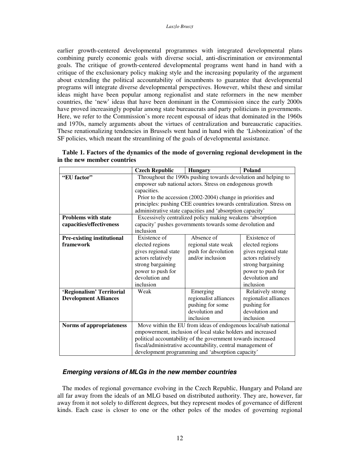earlier growth-centered developmental programmes with integrated developmental plans combining purely economic goals with diverse social, anti-discrimination or environmental goals. The critique of growth-centered developmental programs went hand in hand with a critique of the exclusionary policy making style and the increasing popularity of the argument about extending the political accountability of incumbents to guarantee that developmental programs will integrate diverse developmental perspectives. However, whilst these and similar ideas might have been popular among regionalist and state reformers in the new member countries, the 'new' ideas that have been dominant in the Commission since the early 2000s have proved increasingly popular among state bureaucrats and party politicians in governments. Here, we refer to the Commission's more recent espousal of ideas that dominated in the 1960s and 1970s, namely arguments about the virtues of centralization and bureaucratic capacities. These renationalizing tendencies in Brussels went hand in hand with the 'Lisbonization' of the SF policies, which meant the streamlining of the goals of developmental assistance.

|                                   | <b>Czech Republic</b>                                               | <b>Hungary</b>                                                 | <b>Poland</b>         |  |  |
|-----------------------------------|---------------------------------------------------------------------|----------------------------------------------------------------|-----------------------|--|--|
| "EU factor"                       |                                                                     | Throughout the 1990s pushing towards devolution and helping to |                       |  |  |
|                                   | empower sub national actors. Stress on endogenous growth            |                                                                |                       |  |  |
|                                   | capacities.                                                         |                                                                |                       |  |  |
|                                   | Prior to the accession (2002-2004) change in priorities and         |                                                                |                       |  |  |
|                                   | principles: pushing CEE countries towards centralization. Stress on |                                                                |                       |  |  |
|                                   | administrative state capacities and 'absorption capacity'           |                                                                |                       |  |  |
| <b>Problems with state</b>        | Excessively centralized policy making weakens 'absorption           |                                                                |                       |  |  |
| capacities/effectiveness          | capacity' pushes governments towards some devolution and            |                                                                |                       |  |  |
|                                   | inclusion                                                           |                                                                |                       |  |  |
| <b>Pre-existing institutional</b> | Existence of                                                        | Absence of                                                     | Existence of          |  |  |
| framework                         | elected regions                                                     | regional state weak                                            | elected regions       |  |  |
|                                   | gives regional state                                                | push for devolution                                            | gives regional state  |  |  |
|                                   | actors relatively                                                   | and/or inclusion                                               | actors relatively     |  |  |
|                                   | strong bargaining                                                   |                                                                | strong bargaining     |  |  |
|                                   | power to push for                                                   |                                                                | power to push for     |  |  |
|                                   | devolution and                                                      |                                                                | devolution and        |  |  |
|                                   | inclusion                                                           |                                                                | inclusion             |  |  |
| 'Regionalism' Territorial         | Weak                                                                | Emerging                                                       | Relatively strong     |  |  |
| <b>Development Alliances</b>      |                                                                     | regionalist alliances                                          | regionalist alliances |  |  |
|                                   |                                                                     | pushing for some                                               | pushing for           |  |  |
|                                   |                                                                     | devolution and                                                 | devolution and        |  |  |
|                                   |                                                                     | inclusion                                                      | inclusion             |  |  |
| Norms of appropriateness          | Move within the EU from ideas of endogenous local/sub national      |                                                                |                       |  |  |
|                                   | empowerment, inclusion of local stake holders and increased         |                                                                |                       |  |  |
|                                   | political accountability of the government towards increased        |                                                                |                       |  |  |
|                                   | fiscal/administrative accountability, central management of         |                                                                |                       |  |  |
|                                   | development programming and 'absorption capacity'                   |                                                                |                       |  |  |

| Table 1. Factors of the dynamics of the mode of governing regional development in the |  |  |
|---------------------------------------------------------------------------------------|--|--|
| in the new member countries                                                           |  |  |

## *Emerging versions of MLGs in the new member countries*

The modes of regional governance evolving in the Czech Republic, Hungary and Poland are all far away from the ideals of an MLG based on distributed authority. They are, however, far away from it not solely to different degrees, but they represent modes of governance of different kinds. Each case is closer to one or the other poles of the modes of governing regional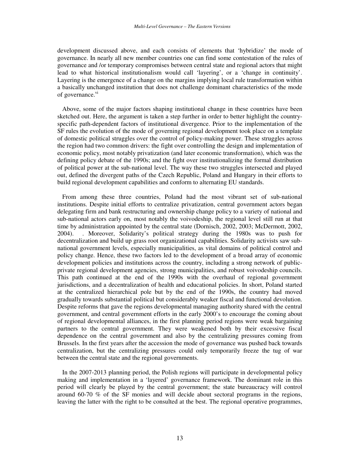development discussed above, and each consists of elements that 'hybridize' the mode of governance. In nearly all new member countries one can find some contestation of the rules of governance and /or temporary compromises between central state and regional actors that might lead to what historical institutionalism would call 'layering', or a 'change in continuity'. Layering is the emergence of a change on the margins implying local rule transformation within a basically unchanged institution that does not challenge dominant characteristics of the mode of governance.<sup>vi</sup>

Above, some of the major factors shaping institutional change in these countries have been sketched out. Here, the argument is taken a step further in order to better highlight the countryspecific path-dependent factors of institutional divergence. Prior to the implementation of the SF rules the evolution of the mode of governing regional development took place on a template of domestic political struggles over the control of policy-making power. These struggles across the region had two common drivers: the fight over controlling the design and implementation of economic policy, most notably privatization (and later economic transformation), which was the defining policy debate of the 1990s; and the fight over institutionalizing the formal distribution of political power at the sub-national level. The way these two struggles intersected and played out, defined the divergent paths of the Czech Republic, Poland and Hungary in their efforts to build regional development capabilities and conform to alternating EU standards.

From among these three countries, Poland had the most vibrant set of sub-national institutions. Despite initial efforts to centralize privatization, central government actors began delegating firm and bank restructuring and ownership change policy to a variety of national and sub-national actors early on, most notably the voivodeship, the regional level still run at that time by administration appointed by the central state (Dornisch, 2002, 2003; McDermott, 2002, 2004). . Moreover, Solidarity's political strategy during the 1980s was to push for decentralization and build up grass root organizational capabilities. Solidarity activists saw subnational government levels, especially municipalities, as vital domains of political control and policy change. Hence, these two factors led to the development of a broad array of economic development policies and institutions across the country, including a strong network of publicprivate regional development agencies, strong municipalities, and robust voivodeship councils. This path continued at the end of the 1990s with the overhaul of regional government jurisdictions, and a decentralization of health and educational policies. In short, Poland started at the centralized hierarchical pole but by the end of the 1990s, the country had moved gradually towards substantial political but considerably weaker fiscal and functional devolution. Despite reforms that gave the regions developmental managing authority shared with the central government, and central government efforts in the early 2000's to encourage the coming about of regional developmental alliances, in the first planning period regions were weak bargaining partners to the central government. They were weakened both by their excessive fiscal dependence on the central government and also by the centralizing pressures coming from Brussels. In the first years after the accession the mode of governance was pushed back towards centralization, but the centralizing pressures could only temporarily freeze the tug of war between the central state and the regional governments.

In the 2007-2013 planning period, the Polish regions will participate in developmental policy making and implementation in a 'layered' governance framework. The dominant role in this period will clearly be played by the central government; the state bureaucracy will control around 60-70 % of the SF monies and will decide about sectoral programs in the regions, leaving the latter with the right to be consulted at the best. The regional operative programmes,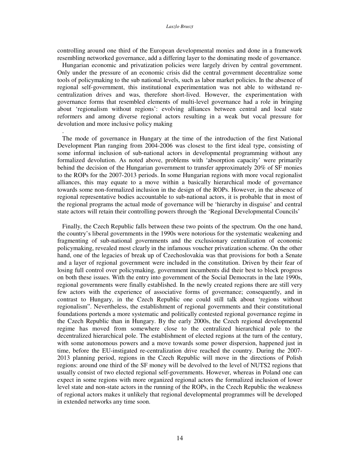#### *Laszlo Bruszt*

controlling around one third of the European developmental monies and done in a framework resembling networked governance, add a differing layer to the dominating mode of governance.

Hungarian economic and privatization policies were largely driven by central government. Only under the pressure of an economic crisis did the central government decentralize some tools of policymaking to the sub national levels, such as labor market policies. In the absence of regional self-government, this institutional experimentation was not able to withstand recentralization drives and was, therefore short-lived. However, the experimentation with governance forms that resembled elements of multi-level governance had a role in bringing about 'regionalism without regions': evolving alliances between central and local state reformers and among diverse regional actors resulting in a weak but vocal pressure for devolution and more inclusive policy making

.

The mode of governance in Hungary at the time of the introduction of the first National Development Plan ranging from 2004-2006 was closest to the first ideal type, consisting of some informal inclusion of sub-national actors in developmental programming without any formalized devolution. As noted above, problems with 'absorption capacity' were primarily behind the decision of the Hungarian government to transfer approximately 20% of SF monies to the ROPs for the 2007-2013 periods. In some Hungarian regions with more vocal regionalist alliances, this may equate to a move within a basically hierarchical mode of governance towards some non-formalized inclusion in the design of the ROPs. However, in the absence of regional representative bodies accountable to sub-national actors, it is probable that in most of the regional programs the actual mode of governance will be 'hierarchy in disguise' and central state actors will retain their controlling powers through the 'Regional Developmental Councils'

Finally, the Czech Republic falls between these two points of the spectrum. On the one hand, the country's liberal governments in the 1990s were notorious for the systematic weakening and fragmenting of sub-national governments and the exclusionary centralization of economic policymaking, revealed most clearly in the infamous voucher privatization scheme. On the other hand, one of the legacies of break up of Czechoslovakia was that provisions for both a Senate and a layer of regional government were included in the constitution. Driven by their fear of losing full control over policymaking, government incumbents did their best to block progress on both these issues. With the entry into government of the Social Democrats in the late 1990s, regional governments were finally established. In the newly created regions there are still very few actors with the experience of associative forms of governance; consequently, and in contrast to Hungary, in the Czech Republic one could still talk about 'regions without regionalism". Nevertheless, the establishment of regional governments and their constitutional foundations portends a more systematic and politically contested regional governance regime in the Czech Republic than in Hungary. By the early 2000s, the Czech regional developmental regime has moved from somewhere close to the centralized hierarchical pole to the decentralized hierarchical pole. The establishment of elected regions at the turn of the century, with some autonomous powers and a move towards some power dispersion, happened just in time, before the EU-instigated re-centralization drive reached the country. During the 2007- 2013 planning period, regions in the Czech Republic will move in the directions of Polish regions: around one third of the SF money will be devolved to the level of NUTS2 regions that usually consist of two elected regional self-governments. However, whereas in Poland one can expect in some regions with more organized regional actors the formalized inclusion of lower level state and non-state actors in the running of the ROPs, in the Czech Republic the weakness of regional actors makes it unlikely that regional developmental programmes will be developed in extended networks any time soon.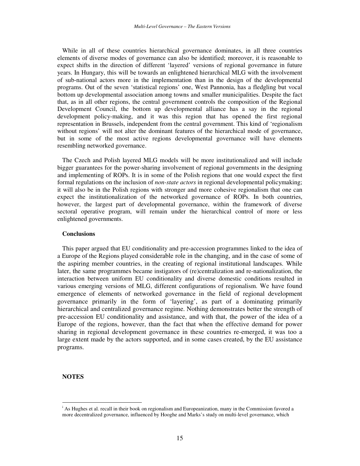While in all of these countries hierarchical governance dominates, in all three countries elements of diverse modes of governance can also be identified; moreover, it is reasonable to expect shifts in the direction of different 'layered' versions of regional governance in future years. In Hungary, this will be towards an enlightened hierarchical MLG with the involvement of sub-national actors more in the implementation than in the design of the developmental programs. Out of the seven 'statistical regions' one, West Pannonia, has a fledgling but vocal bottom up developmental association among towns and smaller municipalities. Despite the fact that, as in all other regions, the central government controls the composition of the Regional Development Council, the bottom up developmental alliance has a say in the regional development policy-making, and it was this region that has opened the first regional representation in Brussels, independent from the central government. This kind of 'regionalism without regions' will not alter the dominant features of the hierarchical mode of governance, but in some of the most active regions developmental governance will have elements resembling networked governance.

The Czech and Polish layered MLG models will be more institutionalized and will include bigger guarantees for the power-sharing involvement of regional governments in the designing and implementing of ROPs. It is in some of the Polish regions that one would expect the first formal regulations on the inclusion of *non-state actors* in regional developmental policymaking; it will also be in the Polish regions with stronger and more cohesive regionalism that one can expect the institutionalization of the networked governance of ROPs. In both countries, however, the largest part of developmental governance, within the framework of diverse sectoral operative program, will remain under the hierarchical control of more or less enlightened governments.

## **Conclusions**

This paper argued that EU conditionality and pre-accession programmes linked to the idea of a Europe of the Regions played considerable role in the changing, and in the case of some of the aspiring member countries, in the creating of regional institutional landscapes. While later, the same programmes became instigators of (re)centralization and re-nationalization, the interaction between uniform EU conditionality and diverse domestic conditions resulted in various emerging versions of MLG, different configurations of regionalism. We have found emergence of elements of networked governance in the field of regional development governance primarily in the form of 'layering', as part of a dominating primarily hierarchical and centralized governance regime. Nothing demonstrates better the strength of pre-accession EU conditionality and assistance, and with that, the power of the idea of a Europe of the regions, however, than the fact that when the effective demand for power sharing in regional development governance in these countries re-emerged, it was too a large extent made by the actors supported, and in some cases created, by the EU assistance programs.

### **NOTES**

<sup>i</sup> As Hughes et al. recall in their book on regionalism and Europeanization, many in the Commission favored a more decentralized governance, influenced by Hooghe and Marks's study on multi-level governance, which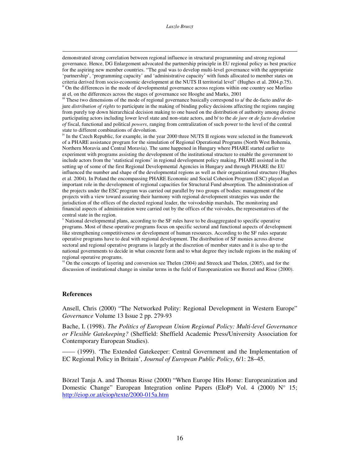#### *Laszlo Bruszt*

demonstrated strong correlation between regional influence in structural programming and strong regional governance. Hence, DG Enlargement advocated the partnership principle in EU regional policy as best practice for the aspiring new member countries. "The goal was to develop multi-level governance with the appropriate 'partnership', 'programming capacity' and 'administrative capacity' with funds allocated to member states on criteria derived from socio-economic development at the NUTS II territorial level" (Hughes et al. 2004.p.75). ii On the differences in the mode of developmental governance across regions within one country see Morlino at el, on the differences across the stages of governance see Hooghe and Marks, 2001

iii These two dimensions of the mode of regional governance basically correspond to a/ the de-facto and/or dejure *distribution of rights* to participate in the making of binding policy decisions affecting the regions ranging from purely top down hierarchical decision making to one based on the distribution of authority among diverse participating actors including lower level state and non-state actors, and b/ to the *de jure* or *de facto devolution of* fiscal, functional and political *powers*, ranging from centralization of such power to the level of the central state to different combinations of devolution.

<sup>iv</sup> In the Czech Republic, for example, in the year 2000 three NUTS II regions were selected in the framework of a PHARE assistance program for the simulation of Regional Operational Programs (North West Bohemia, Northern Moravia and Central Moravia). The same happened in Hungary where PHARE started earlier to experiment with programs assisting the development of the institutional structure to enable the government to include actors from the 'statistical regions' in regional development policy making. PHARE assisted in the setting up of some of the first Regional Developmental Agencies in Hungary and through PHARE the EU influenced the number and shape of the developmental regions as well as their organizational structure (Hughes et al. 2004). In Poland the encompassing PHARE Economic and Social Cohesion Program (ESC) played an important role in the development of regional capacities for Structural Fund absorption. The administration of the projects under the ESC program was carried out parallel by two groups of bodies: management of the projects with a view toward assuring their harmony with regional development strategies was under the jurisdiction of the offices of the elected regional leader, the voivodeship marshals. The monitoring and financial aspects of administration were carried out by the offices of the voivodes, the representatives of the central state in the region.

<sup>v</sup> National developmental plans, according to the SF rules have to be disaggregated to specific operative programs. Most of these operative programs focus on specific sectoral and functional aspects of development like strengthening competitiveness or development of human resources. According to the SF rules separate operative programs have to deal with regional development. The distribution of SF monies across diverse sectoral and regional operative programs is largely at the discretion of member states and it is also up to the national governments to decide in what concrete form and to what degree they include regions in the making of regional operative programs.

 $v<sup>i</sup>$  On the concepts of layering and conversion see Thelen (2004) and Streeck and Thelen, (2005), and for the discussion of institutional change in similar terms in the field of Europeanization see Borzel and Risse (2000).

#### **References**

Ansell, Chris (2000) "The Networked Polity: Regional Development in Western Europe" *Governance* Volume 13 Issue 2 pp. 279-93

Bache, I. (1998). *The Politics of European Union Regional Policy: Multi-level Governance or Flexible Gatekeeping?* (Sheffield: Sheffield Academic Press/University Association for Contemporary European Studies).

—— (1999). 'The Extended Gatekeeper: Central Government and the Implementation of EC Regional Policy in Britain', *Journal of European Public Policy*, 6/1: 28–45.

Börzel Tanja A. and Thomas Risse (2000) "When Europe Hits Home: Europeanization and Domestic Change" European Integration online Papers (EIoP) Vol. 4 (2000) N° 15; http://eiop.or.at/eiop/texte/2000-015a.htm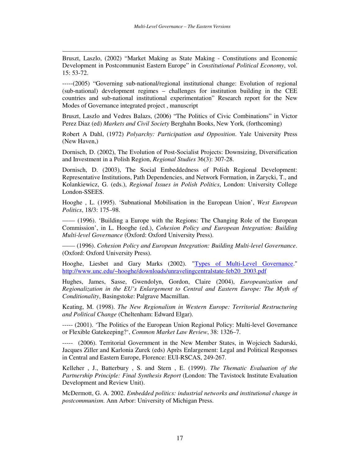Bruszt, Laszlo, (2002) "Market Making as State Making - Constitutions and Economic Development in Postcommunist Eastern Europe" in *Constitutional Political Economy*, vol. 15: 53-72.

-----(2005) "Governing sub-national/regional institutional change: Evolution of regional (sub-national) development regimes – challenges for institution building in the CEE countries and sub-national institutional experimentation" Research report for the New Modes of Governance integrated project , manuscript

Bruszt, Laszlo and Vedres Balazs, (2006) "The Politics of Civic Combinations" in Victor Perez Diaz (ed) *Markets and Civil Society* Berghahn Books, New York*,* (forthcoming)

Robert A Dahl, (1972) *Polyarchy: Participation and Opposition*. Yale University Press (New Haven,)

Dornisch, D. (2002), The Evolution of Post-Socialist Projects: Downsizing, Diversification and Investment in a Polish Region, *Regional Studies* 36(3): 307-28.

Dornisch, D. (2003), The Social Embeddedness of Polish Regional Development: Representative Institutions, Path Dependencies, and Network Formation, in Zarycki, T., and Kolankiewicz, G. (eds.), *Regional Issues in Polish Politics*, London: University College London-SSEES.

Hooghe , L. (1995). 'Subnational Mobilisation in the European Union', *West European Politics*, 18/3: 175–98.

—— (1996). 'Building a Europe with the Regions: The Changing Role of the European Commission', in L. Hooghe (ed.), *Cohesion Policy and European Integration: Building Multi-level Governance* (Oxford: Oxford University Press).

—— (1996). *Cohesion Policy and European Integration: Building Multi-level Governance*. (Oxford: Oxford University Press).

Hooghe, Liesbet and Gary Marks (2002). "Types of Multi-Level Governance." http://www.unc.edu/~hooghe/downloads/unravelingcentralstate-feb20\_2003.pdf

Hughes, James, Sasse, Gwendolyn, Gordon, Claire (2004), *Europeanization and Regionalization in the EU's Enlargement to Central and Eastern Europe: The Myth of Conditionality*, Basingstoke: Palgrave Macmillan.

Keating, M. (1998). *The New Regionalism in Western Europe: Territorial Restructuring and Political Change* (Cheltenham: Edward Elgar).

----- (2001). 'The Politics of the European Union Regional Policy: Multi-level Governance or Flexible Gatekeeping?', *Common Market Law Review*, 38: 1326–7.

----- (2006). Territorial Government in the New Member States, in Wojciech Sadurski, Jacques Ziller and Karlonia Zurek (eds) Après Enlargement: Legal and Political Responses in Central and Eastern Europe, Florence: EUI-RSCAS, 249-267.

Kelleher , J., Batterbury , S. and Stern , E. (1999). *The Thematic Evaluation of the Partnership Principle: Final Synthesis Report* (London: The Tavistock Institute Evaluation Development and Review Unit).

McDermott, G. A. 2002. *Embedded politics: industrial networks and institutional change in postcommunism*. Ann Arbor: University of Michigan Press.